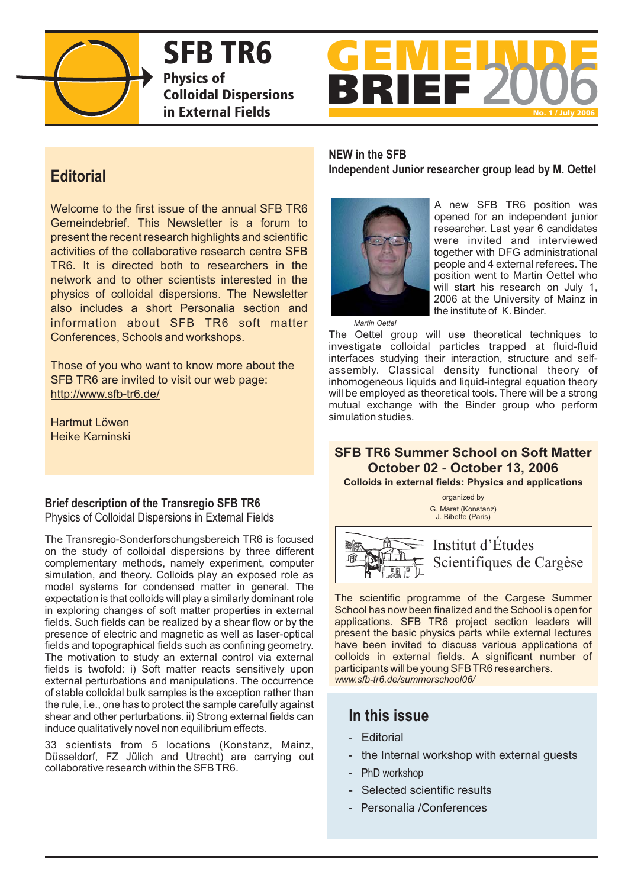

**SFB TR6 Physics of Colloidal Dispersions in External Fields**



# **Editorial**

Welcome to the first issue of the annual SFB TR6 Gemeindebrief. This Newsletter is a forum to present the recent research highlights and scientific activities of the collaborative research centre SFB TR6. It is directed both to researchers in the network and to other scientists interested in the physics of colloidal dispersions. The Newsletter also includes a short Personalia section and information about SFB TR6 soft matter Conferences, Schools and workshops.

Those of you who want to know more about the SFB TR6 are invited to visit our web page: http://www.sfb-tr6.de/

Hartmut Löwen Heike Kaminski

### **Brief description of the Transregio SFB TR6**

Physics of Colloidal Dispersions in External Fields

The Transregio-Sonderforschungsbereich TR6 is focused on the study of colloidal dispersions by three different complementary methods, namely experiment, computer simulation, and theory. Colloids play an exposed role as model systems for condensed matter in general. The expectation is that colloids will play a similarly dominant role in exploring changes of soft matter properties in external fields. Such fields can be realized by a shear flow or by the presence of electric and magnetic as well as laser-optical fields and topographical fields such as confining geometry. The motivation to study an external control via external fields is twofold: i) Soft matter reacts sensitively upon external perturbations and manipulations. The occurrence of stable colloidal bulk samples is the exception rather than the rule, i.e., one has to protect the sample carefully against shear and other perturbations. ii) Strong external fields can induce qualitatively novel non equilibrium effects.

33 scientists from 5 locations (Konstanz, Mainz, Düsseldorf, FZ Jülich and Utrecht) are carrying out collaborative research within the SFB TR6.

### **NEW in the SFB Independent Junior researcher group lead by M. Oettel**



A new SFB TR6 position was opened for an independent junior researcher. Last year 6 candidates were invited and interviewed together with DFG administrational people and 4 external referees. The position went to Martin Oettel who will start his research on July 1, 2006 at the University of Mainz in the institute of K. Binder.

*Martin Oettel*

The Oettel group will use theoretical techniques to investigate colloidal particles trapped at fluid-fluid interfaces studying their interaction, structure and selfassembly. Classical density functional theory of inhomogeneous liquids and liquid-integral equation theory will be employed as theoretical tools. There will be a strong mutual exchange with the Binder group who perform simulation studies.

## **SFB TR6 Summer School on Soft Matter October 02 - October 13, 2006**

**Colloids in external fields: Physics and applications**

organized by G. Maret (Konstanz) J. Bibette (Paris)



Institut d'Études Scientifiques de Cargèse

The scientific programme of the Cargese Summer School has now been finalized and the School is open for applications. SFB TR6 project section leaders will present the basic physics parts while external lectures have been invited to discuss various applications of colloids in external fields. A significant number of participants will be young SFB TR6 researchers. *www.sfb-tr6.de/summerschool06/*

# **In this issue**

- Editorial
- the Internal workshop with external guests
- PhD workshop
- Selected scientific results
- P ersonalia /Conferences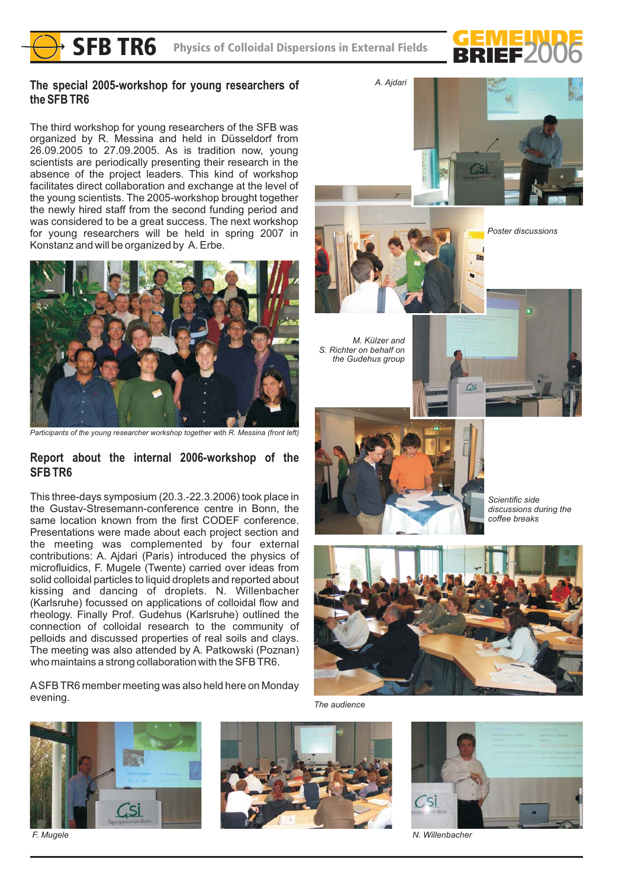

### **The special 2005-workshop for young researchers of the SFB TR6**

The third workshop for young researchers of the SFB was organized by R. Messina and held in Düsseldorf from 26.09.2005 to 27.09.2005. As is tradition now, young scientists are periodically presenting their research in the absence of the project leaders. This kind of workshop facilitates direct collaboration and exchange at the level of the young scientists. The 2005-workshop brought together the newly hired staff from the second funding period and was considered to be a great success. The next workshop for young researchers will be held in spring 2007 in Konstanz and will be organized by A. Erbe.



*Participants of the young researcher workshop together with R. Messina (front left)*

### **Report about the internal 2006-workshop of the SFB TR6**

This three-days symposium (20.3.-22.3.2006) took place in the Gustav-Stresemann-conference centre in Bonn, the same location known from the first CODEF conference. Presentations were made about each project section and the meeting was complemented by four external contributions: A. Ajdari (Paris) introduced the physics of microfluidics, F. Mugele (Twente) carried over ideas from solid colloidal particles to liquid droplets and reported about kissing and dancing of droplets. N. Willenbacher (Karlsruhe) focussed on applications of colloidal flow and rheology. Finally Prof. Gudehus (Karlsruhe) outlined the connection of colloidal research to the community of pelloids and discussed properties of real soils and clays. The meeting was also attended by A. Patkowski (Poznan) who maintains a strong collaboration with the SFB TR6.

ASFB TR6 member meeting was also held here on Monday evening.







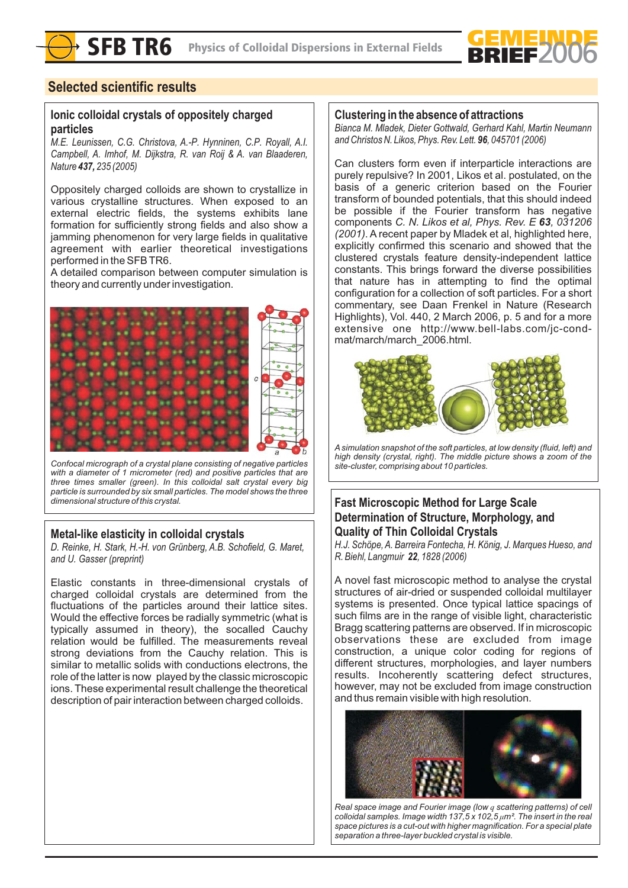

### **Selected scientific results**

### **Ionic colloidal crystals of oppositely charged particles**

*M.E. Leunissen, C.G. Christova, A.-P. Hynninen, C.P. Royall, A.I. Campbell, A. Imhof, M. Dijkstra, R. van Roij & A. van Blaaderen, Nature 235 (2005) 437,*

Oppositely charged colloids are shown to crystallize in various crystalline structures. When exposed to an external electric fields, the systems exhibits lane formation for sufficiently strong fields and also show a jamming phenomenon for very large fields in qualitative agreement with earlier theoretical investigations performed in the SFB TR6.

A detailed comparison between computer simulation is theory and currently under investigation.



*Confocal micrograph of a crystal plane consisting of negative particles with a diameter of 1 micrometer (red) and positive particles that are three times smaller (green). In this colloidal salt crystal every big particle is surrounded by six small particles. The model shows the three dimensional structure of this crystal.*

### **Metal-like elasticity in colloidal crystals**

*D. Reinke, H. Stark, H.-H. von Grünberg, A.B. Schofield, G. Maret, and U. Gasser (preprint)*

Elastic constants in three-dimensional crystals of charged colloidal crystals are determined from the fluctuations of the particles around their lattice sites. Would the effective forces be radially symmetric (what is typically assumed in theory), the socalled Cauchy relation would be fulfilled. The measurements reveal strong deviations from the Cauchy relation. This is similar to metallic solids with conductions electrons, the role of the latter is now played by the classic microscopic ions. These experimental result challenge the theoretical description of pair interaction between charged colloids.

### **Clustering in the absence of attractions**

*Bianca M. Mladek, Dieter Gottwald, Gerhard Kahl, Martin Neumann and Christos N. Likos, Phys. Rev. Lett.* **96**, 045701 (2006)

Can clusters form even if interparticle interactions are purely repulsive? In 2001, Likos et al. postulated, on the basis of a generic criterion based on the Fourier transform of bounded potentials, that this should indeed be possible if the Fourier transform has negative components C. N. Likos et al, Phys. Rev. E 63, 031206 (2001). A recent paper by Mladek et al, highlighted here, explicitly confirmed this scenario and showed that the clustered crystals feature density-independent lattice constants. This brings forward the diverse possibilities that nature has in attempting to find the optimal configuration for a collection of soft particles. For a short commentary, see Daan Frenkel in Nature (Research Highlights), Vol. 440, 2 March 2006, p. 5 and for a more extensive one http://www.bell-labs.com/jc-condmat/march/march\_2006.html.



*A simulation snapshot of the soft particles, at low density (fluid, left) and high density (crystal, right). The middle picture shows a zoom of the site-cluster, comprising about 10 particles.*

### **Fast Microscopic Method for Large Scale Determination of Structure, Morphology, and Quality of Thin Colloidal Crystals**

*H.J. Schöpe,A. Barreira Fontecha, H. König, J. Marques Hueso, and R. Biehl, Langmuir 22, 1828 (2006)* 

A novel fast microscopic method to analyse the crystal structures of air-dried or suspended colloidal multilayer systems is presented. Once typical lattice spacings of such films are in the range of visible light, characteristic Bragg scattering patterns are observed. If in microscopic observations these are excluded from image construction, a unique color coding for regions of different structures, morphologies, and layer numbers results. Incoherently scattering defect structures, however, may not be excluded from image construction and thus remain visible with high resolution.



*Real space image and Fourier image (low q scattering patterns) of cell colloidal samples. Image width 137,5 x 102,5 μm<sup>2</sup>. The insert in the real space pictures is a cut-out with higher magnification. For a special plate separation a three-layer buckled crystal is visible.*